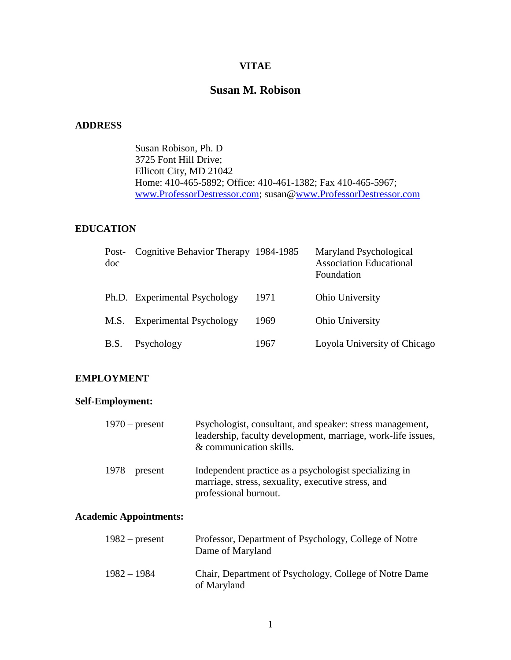# **VITAE**

# **Susan M. Robison**

## **ADDRESS**

Susan Robison, Ph. D 3725 Font Hill Drive; Ellicott City, MD 21042 Home: 410-465-5892; Office: 410-461-1382; Fax 410-465-5967; [www.ProfessorDestressor.com;](http://www.professordestressor.com/) susan[@www.ProfessorDestressor.com](http://www.professordestressor.com/)

## **EDUCATION**

| Post-<br>doc | Cognitive Behavior Therapy 1984-1985 |      | Maryland Psychological<br><b>Association Educational</b><br>Foundation |
|--------------|--------------------------------------|------|------------------------------------------------------------------------|
|              | Ph.D. Experimental Psychology        | 1971 | Ohio University                                                        |
| M.S.         | <b>Experimental Psychology</b>       | 1969 | Ohio University                                                        |
| B.S.         | Psychology                           | 1967 | Loyola University of Chicago                                           |

### **EMPLOYMENT**

# **Self-Employment:**

| $1970$ – present              | Psychologist, consultant, and speaker: stress management,<br>leadership, faculty development, marriage, work-life issues,<br>& communication skills. |
|-------------------------------|------------------------------------------------------------------------------------------------------------------------------------------------------|
| $1978$ – present              | Independent practice as a psychologist specializing in<br>marriage, stress, sexuality, executive stress, and<br>professional burnout.                |
| <b>Academic Appointments:</b> |                                                                                                                                                      |
| $1982$ – present              | Professor, Department of Psychology, College of Notre<br>Dame of Maryland                                                                            |

| $1982 - 1984$ | Chair, Department of Psychology, College of Notre Dame |
|---------------|--------------------------------------------------------|
|               | of Maryland                                            |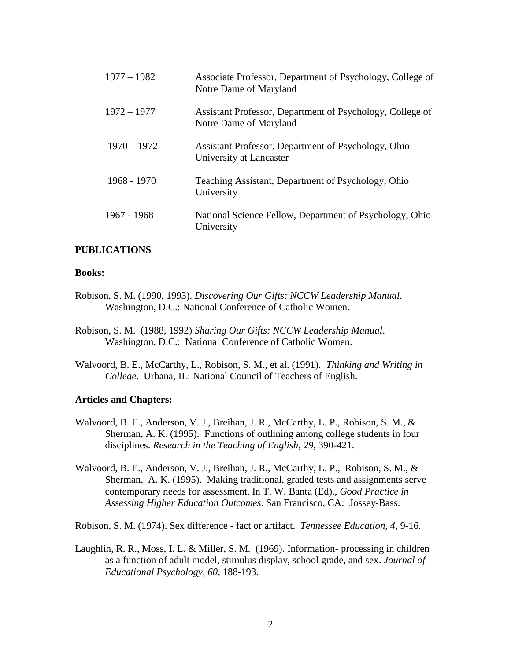| $1977 - 1982$ | Associate Professor, Department of Psychology, College of<br>Notre Dame of Maryland |
|---------------|-------------------------------------------------------------------------------------|
| $1972 - 1977$ | Assistant Professor, Department of Psychology, College of<br>Notre Dame of Maryland |
| $1970 - 1972$ | Assistant Professor, Department of Psychology, Ohio<br>University at Lancaster      |
| 1968 - 1970   | Teaching Assistant, Department of Psychology, Ohio<br>University                    |
| 1967 - 1968   | National Science Fellow, Department of Psychology, Ohio<br>University               |

### **PUBLICATIONS**

#### **Books:**

- Robison, S. M. (1990, 1993). *Discovering Our Gifts: NCCW Leadership Manual*. Washington, D.C.: National Conference of Catholic Women.
- Robison, S. M. (1988, 1992) *Sharing Our Gifts: NCCW Leadership Manual*. Washington, D.C.: National Conference of Catholic Women.
- Walvoord, B. E., McCarthy, L., Robison, S. M., et al. (1991). *Thinking and Writing in College*. Urbana, IL: National Council of Teachers of English.

#### **Articles and Chapters:**

- Walvoord, B. E., Anderson, V. J., Breihan, J. R., McCarthy, L. P., Robison, S. M., & Sherman, A. K. (1995). Functions of outlining among college students in four disciplines. *Research in the Teaching of English, 29*, 390-421.
- Walvoord, B. E., Anderson, V. J., Breihan, J. R., McCarthy, L. P., Robison, S. M., & Sherman, A. K. (1995). Making traditional, graded tests and assignments serve contemporary needs for assessment. In T. W. Banta (Ed)., *Good Practice in Assessing Higher Education Outcomes*. San Francisco, CA: Jossey-Bass.

Robison, S. M. (1974). Sex difference - fact or artifact. *Tennessee Education*, *4*, 9-16.

Laughlin, R. R., Moss, I. L. & Miller, S. M. (1969). Information- processing in children as a function of adult model, stimulus display, school grade, and sex. *Journal of Educational Psychology, 60,* 188-193.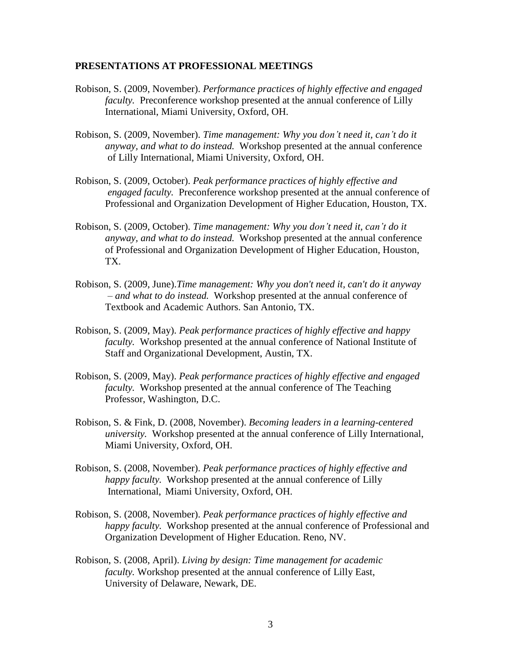#### **PRESENTATIONS AT PROFESSIONAL MEETINGS**

- Robison, S. (2009, November). *Performance practices of highly effective and engaged faculty.* Preconference workshop presented at the annual conference of Lilly International, Miami University, Oxford, OH.
- Robison, S. (2009, November). *Time management: Why you don't need it, can't do it anyway, and what to do instead.* Workshop presented at the annual conference of Lilly International, Miami University, Oxford, OH.
- Robison, S. (2009, October). *Peak performance practices of highly effective and engaged faculty.* Preconference workshop presented at the annual conference of Professional and Organization Development of Higher Education, Houston, TX.
- Robison, S. (2009, October). *Time management: Why you don't need it, can't do it anyway, and what to do instead.* Workshop presented at the annual conference of Professional and Organization Development of Higher Education, Houston, TX.
- Robison, S. (2009, June).*Time management: Why you don't need it, can't do it anyway – and what to do instead.* Workshop presented at the annual conference of Textbook and Academic Authors. San Antonio, TX.
- Robison, S. (2009, May). *Peak performance practices of highly effective and happy faculty.* Workshop presented at the annual conference of National Institute of Staff and Organizational Development, Austin, TX.
- Robison, S. (2009, May). *Peak performance practices of highly effective and engaged faculty.* Workshop presented at the annual conference of The Teaching Professor, Washington, D.C.
- Robison, S. & Fink, D. (2008, November). *Becoming leaders in a learning-centered university.* Workshop presented at the annual conference of Lilly International, Miami University, Oxford, OH.
- Robison, S. (2008, November). *Peak performance practices of highly effective and happy faculty.* Workshop presented at the annual conference of Lilly International, Miami University, Oxford, OH.
- Robison, S. (2008, November). *Peak performance practices of highly effective and happy faculty.* Workshop presented at the annual conference of Professional and Organization Development of Higher Education. Reno, NV.
- Robison, S. (2008, April). *Living by design: Time management for academic faculty.* Workshop presented at the annual conference of Lilly East, University of Delaware, Newark, DE.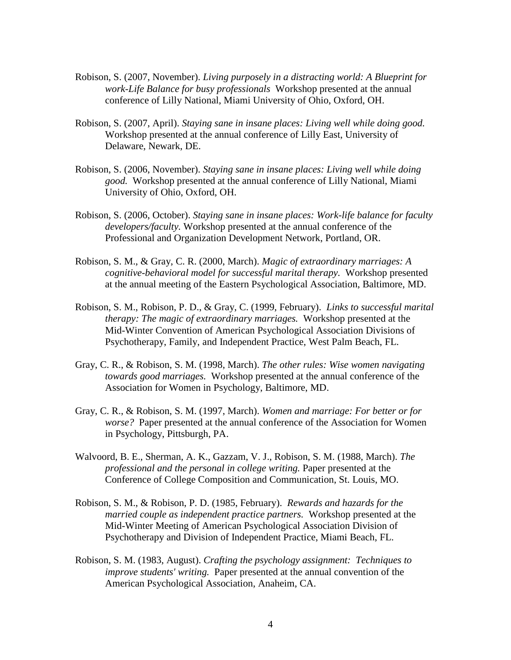- Robison, S. (2007, November). *Living purposely in a distracting world: A Blueprint for work-Life Balance for busy professionals* Workshop presented at the annual conference of Lilly National, Miami University of Ohio, Oxford, OH.
- Robison, S. (2007, April). *Staying sane in insane places: Living well while doing good.*  Workshop presented at the annual conference of Lilly East, University of Delaware, Newark, DE.
- Robison, S. (2006, November). *Staying sane in insane places: Living well while doing good.* Workshop presented at the annual conference of Lilly National, Miami University of Ohio, Oxford, OH.
- Robison, S. (2006, October). *Staying sane in insane places: Work-life balance for faculty developers/faculty.* Workshop presented at the annual conference of the Professional and Organization Development Network, Portland, OR.
- Robison, S. M., & Gray, C. R. (2000, March). *Magic of extraordinary marriages: A cognitive-behavioral model for successful marital therapy.* Workshop presented at the annual meeting of the Eastern Psychological Association, Baltimore, MD.
- Robison, S. M., Robison, P. D., & Gray, C. (1999, February). *Links to successful marital therapy: The magic of extraordinary marriages.* Workshop presented at the Mid-Winter Convention of American Psychological Association Divisions of Psychotherapy, Family, and Independent Practice, West Palm Beach, FL.
- Gray, C. R., & Robison, S. M. (1998, March). *The other rules: Wise women navigating towards good marriages.* Workshop presented at the annual conference of the Association for Women in Psychology, Baltimore, MD.
- Gray, C. R., & Robison, S. M. (1997, March). *Women and marriage: For better or for worse?* Paper presented at the annual conference of the Association for Women in Psychology, Pittsburgh, PA.
- Walvoord, B. E., Sherman, A. K., Gazzam, V. J., Robison, S. M. (1988, March). *The professional and the personal in college writing.* Paper presented at the Conference of College Composition and Communication, St. Louis, MO.
- Robison, S. M., & Robison, P. D. (1985, February). *Rewards and hazards for the married couple as independent practice partners.* Workshop presented at the Mid-Winter Meeting of American Psychological Association Division of Psychotherapy and Division of Independent Practice, Miami Beach, FL.
- Robison, S. M. (1983, August). *Crafting the psychology assignment: Techniques to improve students' writing.* Paper presented at the annual convention of the American Psychological Association, Anaheim, CA.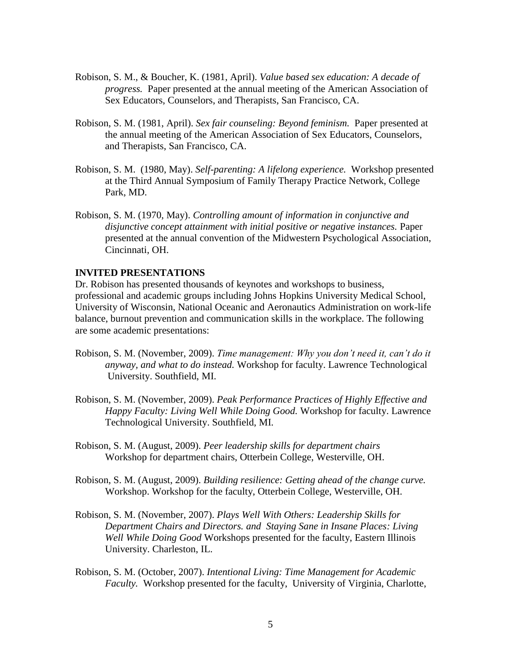- Robison, S. M., & Boucher, K. (1981, April). *Value based sex education: A decade of progress.* Paper presented at the annual meeting of the American Association of Sex Educators, Counselors, and Therapists, San Francisco, CA.
- Robison, S. M. (1981, April). *Sex fair counseling: Beyond feminism.* Paper presented at the annual meeting of the American Association of Sex Educators, Counselors, and Therapists, San Francisco, CA.
- Robison, S. M. (1980, May). *Self-parenting: A lifelong experience.* Workshop presented at the Third Annual Symposium of Family Therapy Practice Network, College Park, MD.
- Robison, S. M. (1970, May). *Controlling amount of information in conjunctive and disjunctive concept attainment with initial positive or negative instances.* Paper presented at the annual convention of the Midwestern Psychological Association, Cincinnati, OH.

### **INVITED PRESENTATIONS**

Dr. Robison has presented thousands of keynotes and workshops to business, professional and academic groups including Johns Hopkins University Medical School, University of Wisconsin, National Oceanic and Aeronautics Administration on work-life balance, burnout prevention and communication skills in the workplace. The following are some academic presentations:

- Robison, S. M. (November, 2009). *Time management: Why you don't need it, can't do it anyway, and what to do instead.* Workshop for faculty. Lawrence Technological University. Southfield, MI.
- Robison, S. M. (November, 2009). *Peak Performance Practices of Highly Effective and Happy Faculty: Living Well While Doing Good.* Workshop for faculty. Lawrence Technological University. Southfield, MI.
- Robison, S. M. (August, 2009). *Peer leadership skills for department chairs* Workshop for department chairs, Otterbein College, Westerville, OH.
- Robison, S. M. (August, 2009). *Building resilience: Getting ahead of the change curve.* Workshop. Workshop for the faculty, Otterbein College, Westerville, OH.
- Robison, S. M. (November, 2007). *Plays Well With Others: Leadership Skills for Department Chairs and Directors. and Staying Sane in Insane Places: Living Well While Doing Good* Workshops presented for the faculty, Eastern Illinois University. Charleston, IL.
- Robison, S. M. (October, 2007). *Intentional Living: Time Management for Academic Faculty.* Workshop presented for the faculty, University of Virginia, Charlotte,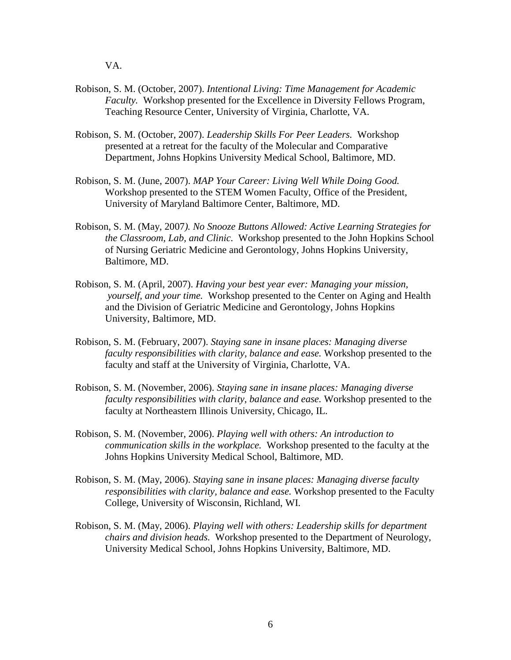VA.

- Robison, S. M. (October, 2007). *Intentional Living: Time Management for Academic Faculty.* Workshop presented for the Excellence in Diversity Fellows Program, Teaching Resource Center, University of Virginia, Charlotte, VA.
- Robison, S. M. (October, 2007). *Leadership Skills For Peer Leaders.* Workshop presented at a retreat for the faculty of the Molecular and Comparative Department, Johns Hopkins University Medical School, Baltimore, MD.
- Robison, S. M. (June, 2007). *MAP Your Career: Living Well While Doing Good.* Workshop presented to the STEM Women Faculty, Office of the President, University of Maryland Baltimore Center, Baltimore, MD.
- Robison, S. M. (May, 2007*). No Snooze Buttons Allowed: Active Learning Strategies for the Classroom, Lab, and Clinic.* Workshop presented to the John Hopkins School of Nursing Geriatric Medicine and Gerontology, Johns Hopkins University, Baltimore, MD.
- Robison, S. M. (April, 2007). *Having your best year ever: Managing your mission, yourself, and your time.* Workshop presented to the Center on Aging and Health and the Division of Geriatric Medicine and Gerontology, Johns Hopkins University, Baltimore, MD.
- Robison, S. M. (February, 2007). *Staying sane in insane places: Managing diverse faculty responsibilities with clarity, balance and ease.* Workshop presented to the faculty and staff at the University of Virginia, Charlotte, VA.
- Robison, S. M. (November, 2006). *Staying sane in insane places: Managing diverse faculty responsibilities with clarity, balance and ease.* Workshop presented to the faculty at Northeastern Illinois University, Chicago, IL.
- Robison, S. M. (November, 2006). *Playing well with others: An introduction to communication skills in the workplace.* Workshop presented to the faculty at the Johns Hopkins University Medical School, Baltimore, MD.
- Robison, S. M. (May, 2006). *Staying sane in insane places: Managing diverse faculty responsibilities with clarity, balance and ease.* Workshop presented to the Faculty College, University of Wisconsin, Richland, WI.
- Robison, S. M. (May, 2006). *Playing well with others: Leadership skills for department chairs and division heads.* Workshop presented to the Department of Neurology, University Medical School, Johns Hopkins University, Baltimore, MD.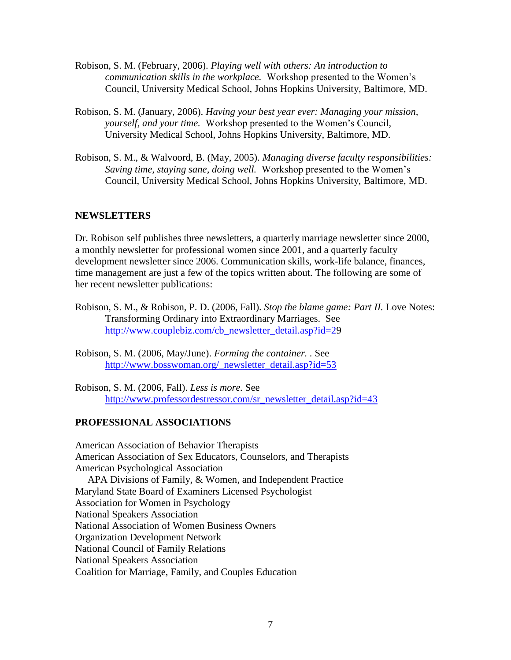- Robison, S. M. (February, 2006). *Playing well with others: An introduction to communication skills in the workplace.* Workshop presented to the Women's Council, University Medical School, Johns Hopkins University, Baltimore, MD.
- Robison, S. M. (January, 2006). *Having your best year ever: Managing your mission, yourself, and your time.* Workshop presented to the Women's Council, University Medical School, Johns Hopkins University, Baltimore, MD.
- Robison, S. M., & Walvoord, B. (May, 2005). *Managing diverse faculty responsibilities: Saving time, staying sane, doing well.* Workshop presented to the Women's Council, University Medical School, Johns Hopkins University, Baltimore, MD.

## **NEWSLETTERS**

Dr. Robison self publishes three newsletters, a quarterly marriage newsletter since 2000, a monthly newsletter for professional women since 2001, and a quarterly faculty development newsletter since 2006. Communication skills, work-life balance, finances, time management are just a few of the topics written about. The following are some of her recent newsletter publications:

- Robison, S. M., & Robison, P. D. (2006, Fall). *Stop the blame game: Part II.* Love Notes: Transforming Ordinary into Extraordinary Marriages. See [http://www.couplebiz.com/cb\\_newsletter\\_detail.asp?id=29](http://www.couplebiz.com/cb_newsletter_detail.asp?id=28)
- Robison, S. M. (2006, May/June). *Forming the container. .* See [http://www.bosswoman.org/\\_newsletter\\_detail.asp?id=53](http://www.bosswoman.org/_newsletter_detail.asp?id=53)
- Robison, S. M. (2006, Fall). *Less is more.* See [http://www.professordestressor.com/sr\\_newsletter\\_detail.asp?id=43](http://www.professordestressor.com/sr_newsletter_detail.asp?id=43)

# **PROFESSIONAL ASSOCIATIONS**

American Association of Behavior Therapists American Association of Sex Educators, Counselors, and Therapists American Psychological Association APA Divisions of Family, & Women, and Independent Practice Maryland State Board of Examiners Licensed Psychologist Association for Women in Psychology National Speakers Association National Association of Women Business Owners Organization Development Network National Council of Family Relations National Speakers Association Coalition for Marriage, Family, and Couples Education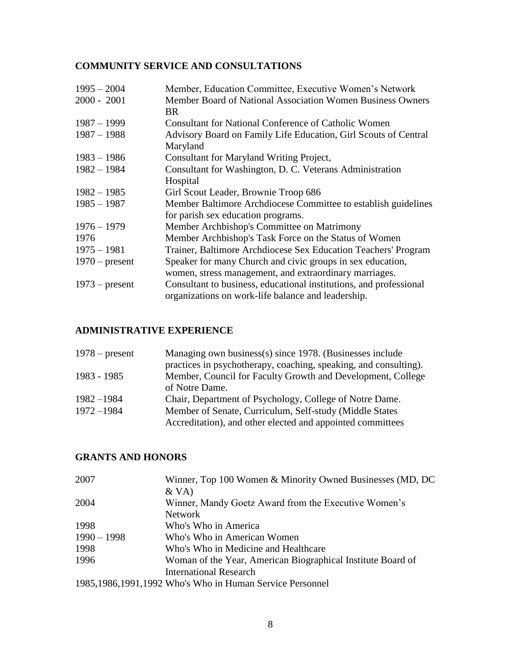# **COMMUNITY SERVICE AND CONSULTATIONS**

| $1995 - 2004$    | Member, Education Committee, Executive Women's Network             |
|------------------|--------------------------------------------------------------------|
| $2000 - 2001$    | Member Board of National Association Women Business Owners         |
|                  | <b>BR</b>                                                          |
| $1987 - 1999$    | <b>Consultant for National Conference of Catholic Women</b>        |
| $1987 - 1988$    | Advisory Board on Family Life Education, Girl Scouts of Central    |
|                  | Maryland                                                           |
| $1983 - 1986$    | Consultant for Maryland Writing Project,                           |
| $1982 - 1984$    | Consultant for Washington, D. C. Veterans Administration           |
|                  | Hospital                                                           |
| $1982 - 1985$    | Girl Scout Leader, Brownie Troop 686                               |
| $1985 - 1987$    | Member Baltimore Archdiocese Committee to establish guidelines     |
|                  | for parish sex education programs.                                 |
| $1976 - 1979$    | Member Archbishop's Committee on Matrimony                         |
| 1976             | Member Archbishop's Task Force on the Status of Women              |
| $1975 - 1981$    | Trainer, Baltimore Archdiocese Sex Education Teachers' Program     |
| $1970$ – present | Speaker for many Church and civic groups in sex education,         |
|                  | women, stress management, and extraordinary marriages.             |
| $1973$ – present | Consultant to business, educational institutions, and professional |
|                  | organizations on work-life balance and leadership.                 |

# **ADMINISTRATIVE EXPERIENCE**

| $1978$ – present | Managing own business(s) since 1978. (Businesses include         |
|------------------|------------------------------------------------------------------|
|                  | practices in psychotherapy, coaching, speaking, and consulting). |
| 1983 - 1985      | Member, Council for Faculty Growth and Development, College      |
|                  | of Notre Dame.                                                   |
| $1982 - 1984$    | Chair, Department of Psychology, College of Notre Dame.          |
| $1972 - 1984$    | Member of Senate, Curriculum, Self-study (Middle States          |
|                  | Accreditation), and other elected and appointed committees       |

# **GRANTS AND HONORS**

| 2007          | Winner, Top 100 Women & Minority Owned Businesses (MD, DC   |
|---------------|-------------------------------------------------------------|
|               | $&\mathrm{VA)}$                                             |
| 2004          | Winner, Mandy Goetz Award from the Executive Women's        |
|               | <b>Network</b>                                              |
| 1998          | Who's Who in America                                        |
| $1990 - 1998$ | Who's Who in American Women                                 |
| 1998          | Who's Who in Medicine and Healthcare                        |
| 1996          | Woman of the Year, American Biographical Institute Board of |
|               | International Research                                      |
|               | 1985, 1986, 1991, 1992 Who's Who in Human Service Personnel |